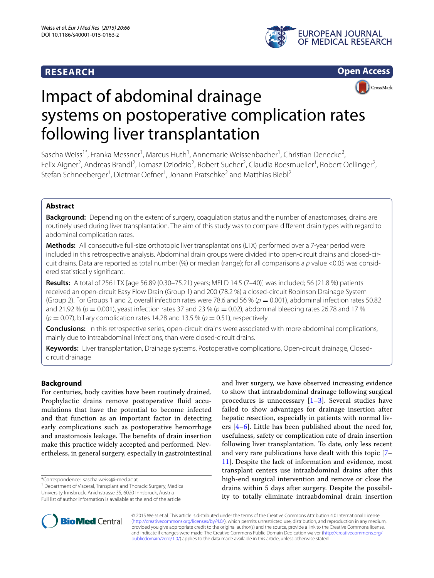# **RESEARCH**





# Impact of abdominal drainage systems on postoperative complication rates following liver transplantation

Sascha Weiss<sup>1\*</sup>, Franka Messner<sup>1</sup>, Marcus Huth<sup>1</sup>, Annemarie Weissenbacher<sup>1</sup>, Christian Denecke<sup>2</sup>, Felix Aigner<sup>2</sup>, Andreas Brandl<sup>2</sup>, Tomasz Dziodzio<sup>2</sup>, Robert Sucher<sup>2</sup>, Claudia Boesmueller<sup>1</sup>, Robert Oellinger<sup>2</sup>, Stefan Schneeberger<sup>1</sup>, Dietmar Oefner<sup>1</sup>, Johann Pratschke<sup>2</sup> and Matthias Biebl<sup>2</sup>

# **Abstract**

**Background:** Depending on the extent of surgery, coagulation status and the number of anastomoses, drains are routinely used during liver transplantation. The aim of this study was to compare different drain types with regard to abdominal complication rates.

**Methods:** All consecutive full-size orthotopic liver transplantations (LTX) performed over a 7-year period were included in this retrospective analysis. Abdominal drain groups were divided into open-circuit drains and closed-circuit drains. Data are reported as total number (%) or median (range); for all comparisons a *p* value <0.05 was considered statistically significant.

**Results:** A total of 256 LTX [age 56.89 (0.30–75.21) years; MELD 14.5 (7–40)] was included; 56 (21.8 %) patients received an open-circuit Easy Flow Drain (Group 1) and 200 (78.2 %) a closed-circuit Robinson Drainage System (Group 2). For Groups 1 and 2, overall infection rates were 78.6 and 56 % ( $p = 0.001$ ), abdominal infection rates 50.82 and 21.92 % (*p* = 0.001), yeast infection rates 37 and 23 % (*p* = 0.02), abdominal bleeding rates 26.78 and 17 %  $(p = 0.07)$ , biliary complication rates 14.28 and 13.5 %  $(p = 0.51)$ , respectively.

**Conclusions:** In this retrospective series, open-circuit drains were associated with more abdominal complications, mainly due to intraabdominal infections, than were closed-circuit drains.

**Keywords:** Liver transplantation, Drainage systems, Postoperative complications, Open-circuit drainage, Closedcircuit drainage

# **Background**

For centuries, body cavities have been routinely drained. Prophylactic drains remove postoperative fluid accumulations that have the potential to become infected and that function as an important factor in detecting early complications such as postoperative hemorrhage and anastomosis leakage. The benefits of drain insertion make this practice widely accepted and performed. Nevertheless, in general surgery, especially in gastrointestinal

\*Correspondence: sascha.weiss@i-med.ac.at 1

<sup>1</sup> Department of Visceral, Transplant and Thoracic Surgery, Medical University Innsbruck, Anichstrasse 35, 6020 Innsbruck, Austria Full list of author information is available at the end of the article

and liver surgery, we have observed increasing evidence to show that intraabdominal drainage following surgical procedures is unnecessary  $[1-3]$  $[1-3]$ . Several studies have failed to show advantages for drainage insertion after hepatic resection, especially in patients with normal livers  $[4-6]$  $[4-6]$ . Little has been published about the need for, usefulness, safety or complication rate of drain insertion following liver transplantation. To date, only less recent and very rare publications have dealt with this topic [[7–](#page-6-4) [11\]](#page-6-5). Despite the lack of information and evidence, most transplant centers use intraabdominal drains after this high-end surgical intervention and remove or close the drains within 5 days after surgery. Despite the possibility to totally eliminate intraabdominal drain insertion



© 2015 Weiss et al. This article is distributed under the terms of the Creative Commons Attribution 4.0 International License [\(http://creativecommons.org/licenses/by/4.0/\)](http://creativecommons.org/licenses/by/4.0/), which permits unrestricted use, distribution, and reproduction in any medium, provided you give appropriate credit to the original author(s) and the source, provide a link to the Creative Commons license, and indicate if changes were made. The Creative Commons Public Domain Dedication waiver ([http://creativecommons.org/](http://creativecommons.org/publicdomain/zero/1.0/) [publicdomain/zero/1.0/](http://creativecommons.org/publicdomain/zero/1.0/)) applies to the data made available in this article, unless otherwise stated.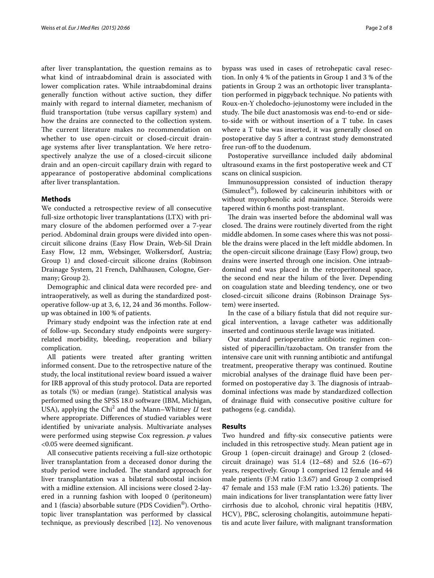after liver transplantation, the question remains as to what kind of intraabdominal drain is associated with lower complication rates. While intraabdominal drains generally function without active suction, they differ mainly with regard to internal diameter, mechanism of fluid transportation (tube versus capillary system) and how the drains are connected to the collection system. The current literature makes no recommendation on whether to use open-circuit or closed-circuit drainage systems after liver transplantation. We here retrospectively analyze the use of a closed-circuit silicone drain and an open-circuit capillary drain with regard to appearance of postoperative abdominal complications after liver transplantation.

## **Methods**

We conducted a retrospective review of all consecutive full-size orthotopic liver transplantations (LTX) with primary closure of the abdomen performed over a 7-year period. Abdominal drain groups were divided into opencircuit silicone drains (Easy Flow Drain, Web-Sil Drain Easy Flow, 12 mm, Websinger, Wolkersdorf, Austria; Group 1) and closed-circuit silicone drains (Robinson Drainage System, 21 French, Dahlhausen, Cologne, Germany; Group 2).

Demographic and clinical data were recorded pre- and intraoperatively, as well as during the standardized postoperative follow-up at 3, 6, 12, 24 and 36 months. Followup was obtained in 100 % of patients.

Primary study endpoint was the infection rate at end of follow-up. Secondary study endpoints were surgeryrelated morbidity, bleeding, reoperation and biliary complication.

All patients were treated after granting written informed consent. Due to the retrospective nature of the study, the local institutional review board issued a waiver for IRB approval of this study protocol. Data are reported as totals (%) or median (range). Statistical analysis was performed using the SPSS 18.0 software (IBM, Michigan, USA), applying the Chi<sup>2</sup> and the Mann–Whitney  $U$  test where appropriate. Differences of studied variables were identified by univariate analysis. Multivariate analyses were performed using stepwise Cox regression. *p* values <0.05 were deemed significant.

All consecutive patients receiving a full-size orthotopic liver transplantation from a deceased donor during the study period were included. The standard approach for liver transplantation was a bilateral subcostal incision with a midline extension. All incisions were closed 2-layered in a running fashion with looped 0 (peritoneum) and 1 (fascia) absorbable suture (PDS Covidien®). Orthotopic liver transplantation was performed by classical technique, as previously described [\[12](#page-6-6)]. No venovenous

bypass was used in cases of retrohepatic caval resection. In only 4 % of the patients in Group 1 and 3 % of the patients in Group 2 was an orthotopic liver transplantation performed in piggyback technique. No patients with Roux-en-Y choledocho-jejunostomy were included in the study. The bile duct anastomosis was end-to-end or sideto-side with or without insertion of a T tube. In cases where a T tube was inserted, it was generally closed on postoperative day 5 after a contrast study demonstrated free run-off to the duodenum.

Postoperative surveillance included daily abdominal ultrasound exams in the first postoperative week and CT scans on clinical suspicion.

Immunosuppression consisted of induction therapy (Simulect®), followed by calcineurin inhibitors with or without mycophenolic acid maintenance. Steroids were tapered within 6 months post-transplant.

The drain was inserted before the abdominal wall was closed. The drains were routinely diverted from the right middle abdomen. In some cases where this was not possible the drains were placed in the left middle abdomen. In the open-circuit silicone drainage (Easy Flow) group, two drains were inserted through one incision. One intraabdominal end was placed in the retroperitoneal space, the second end near the hilum of the liver. Depending on coagulation state and bleeding tendency, one or two closed-circuit silicone drains (Robinson Drainage System) were inserted.

In the case of a biliary fistula that did not require surgical intervention, a lavage catheter was additionally inserted and continuous sterile lavage was initiated.

Our standard perioperative antibiotic regimen consisted of piperacillin/tazobactam. On transfer from the intensive care unit with running antibiotic and antifungal treatment, preoperative therapy was continued. Routine microbial analyses of the drainage fluid have been performed on postoperative day 3. The diagnosis of intraabdominal infections was made by standardized collection of drainage fluid with consecutive positive culture for pathogens (e.g. candida).

#### **Results**

Two hundred and fifty-six consecutive patients were included in this retrospective study. Mean patient age in Group 1 (open-circuit drainage) and Group 2 (closedcircuit drainage) was 51.4 (12–68) and 52.6 (16–67) years, respectively. Group 1 comprised 12 female and 44 male patients (F:M ratio 1:3.67) and Group 2 comprised 47 female and 153 male (F:M ratio 1:3.26) patients. The main indications for liver transplantation were fatty liver cirrhosis due to alcohol, chronic viral hepatitis (HBV, HCV), PBC, sclerosing cholangitis, autoimmune hepatitis and acute liver failure, with malignant transformation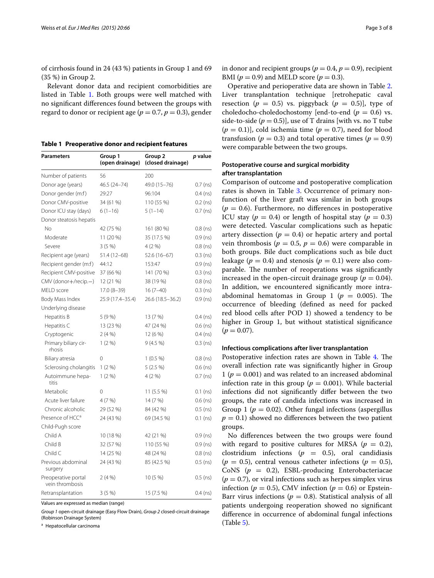of cirrhosis found in 24 (43 %) patients in Group 1 and 69 (35 %) in Group 2.

Relevant donor data and recipient comorbidities are listed in Table [1](#page-2-0). Both groups were well matched with no significant differences found between the groups with regard to donor or recipient age ( $p = 0.7$ ,  $p = 0.3$ ), gender

<span id="page-2-0"></span>**Table 1 Preoperative donor and recipient features**

| Group 1<br>Parameters<br>(open drainage) |                  | Group 2<br>(closed drainage) | <i>p</i> value |  |
|------------------------------------------|------------------|------------------------------|----------------|--|
| Number of patients                       | 56               | 200                          |                |  |
| Donor age (years)                        | 46.5 (24-74)     | 49.0 (15-76)                 | $0.7$ (ns)     |  |
| Donor gender (m:f)                       | 29:27            | 96:104                       | $0.4$ (ns)     |  |
| Donor CMV-positive                       | 34 (61 %)        | 110 (55 %)                   | $0.2$ (ns)     |  |
| Donor ICU stay (days)                    | $6(1-16)$        | $5(1-14)$                    | $0.7$ (ns)     |  |
| Donor steatosis hepatis                  |                  |                              |                |  |
| No                                       | 42 (75 %)        | 161 (80 %)                   | $0.8$ (ns)     |  |
| Moderate                                 | 11 (20 %)        | 35 (17.5 %)                  | $0.9$ (ns)     |  |
| Severe                                   | 3(5%             | $4(2\% )$                    | $0.8$ (ns)     |  |
| Recipient age (years)                    | 51.4 (12-68)     | 52.6 (16–67)                 | $0.3$ (ns)     |  |
| Recipient gender (m:f)                   | 44:12            | 153:47                       | $0.9$ (ns)     |  |
| Recipient CMV-positive                   | 37 (66 %)        | 141 (70 %)                   | $0.3$ (ns)     |  |
| CMV (donor+/recip.-)                     | 12 (21 %)        | 38 (19 %)                    | $0.8$ (ns)     |  |
| MELD score                               | $17.0(8-39)$     | $16(7-40)$                   | $0.3$ (ns)     |  |
| Body Mass Index                          | 25.9 (17.4-35.4) | 26.6 (18.5 - 36.2)           | $0.9$ (ns)     |  |
| Underlying disease                       |                  |                              |                |  |
| Hepatitis B                              | 5 (9 %)          | 13 (7 %)                     | $0.4$ (ns)     |  |
| Hepatitis C                              | 13 (23 %)        | 47 (24 %)                    | $0.6$ (ns)     |  |
| Cryptogenic                              | 2(4%             | 12(6%)                       | $0.4$ (ns)     |  |
| Primary biliary cir-<br>rhosis           | 1(2%)            | $9(4.5\%)$                   | $0.3$ (ns)     |  |
| Biliary atresia                          | 0                | $1(0.5\%)$                   | $0.8$ (ns)     |  |
| Sclerosing cholangitis                   | 1(2%)            | $5(2.5\%)$                   | $0.6$ (ns)     |  |
| Autoimmune hepa-<br>titis                | $1(2\%)$         | 4 (2 %)                      | $0.7$ (ns)     |  |
| Metabolic                                | 0                | $11(5.5\%)$                  | $0.1$ (ns)     |  |
| Acute liver failure                      | 4 (7 %)          | 14 (7 %)                     | $0.6$ (ns)     |  |
| Chronic alcoholic                        | 29 (52 %)        | 84 (42 %)                    | $0.5$ (ns)     |  |
| Presence of HCC <sup>a</sup>             | 24 (43 %)        | 69 (34.5 %)                  | $0.1$ (ns)     |  |
| Child-Pugh score                         |                  |                              |                |  |
| Child A                                  | 10 (18 %)        | 42 (21 %)                    | $0.9$ (ns)     |  |
| Child B                                  | 32 (57 %)        | 110 (55 %)                   | $0.9$ (ns)     |  |
| Child C                                  | 14 (25 %)        | 48 (24 %)                    | $0.8$ (ns)     |  |
| Previous abdominal<br>surgery            | 24 (43 %)        | 85 (42.5 %)                  | $0.5$ (ns)     |  |
| Preoperative portal<br>vein thrombosis   | 2(4%             | 10 (5 %)                     | $0.5$ (ns)     |  |
| Retransplantation                        | 3(5%)            | 15 (7.5 %)                   | $0.4$ (ns)     |  |

Values are expressed as median (range)

*Group 1* open-circuit drainage (Easy Flow Drain), *Group 2* closed-circuit drainage (Robinson Drainage System)

<sup>a</sup> Hepatocellular carcinoma

in donor and recipient groups ( $p = 0.4$ ,  $p = 0.9$ ), recipient BMI ( $p = 0.9$ ) and MELD score ( $p = 0.3$ ).

Operative and perioperative data are shown in Table [2](#page-3-0). Liver transplantation technique [retrohepatic caval resection ( $p = 0.5$ ) vs. piggyback ( $p = 0.5$ ), type of choledocho-choledochostomy [end-to-end  $(p = 0.6)$  vs. side-to-side  $(p = 0.5)$ ], use of T drains [with vs. no T tube  $(p = 0.1)$ , cold ischemia time  $(p = 0.7)$ , need for blood transfusion ( $p = 0.3$ ) and total operative times ( $p = 0.9$ ) were comparable between the two groups.

## **Postoperative course and surgical morbidity after transplantation**

Comparison of outcome and postoperative complication rates is shown in Table [3.](#page-3-1) Occurrence of primary nonfunction of the liver graft was similar in both groups  $(p = 0.6)$ . Furthermore, no differences in postoperative ICU stay ( $p = 0.4$ ) or length of hospital stay ( $p = 0.3$ ) were detected. Vascular complications such as hepatic artery dissection ( $p = 0.4$ ) or hepatic artery and portal vein thrombosis ( $p = 0.5$ ,  $p = 0.6$ ) were comparable in both groups. Bile duct complications such as bile duct leakage ( $p = 0.4$ ) and stenosis ( $p = 0.1$ ) were also comparable. The number of reoperations was significantly increased in the open-circuit drainage group ( $p = 0.04$ ). In addition, we encountered significantly more intraabdominal hematomas in Group 1 ( $p = 0.005$ ). The occurrence of bleeding (defined as need for packed red blood cells after POD 1) showed a tendency to be higher in Group 1, but without statistical significance  $(p = 0.07)$ .

#### **Infectious complications after liver transplantation**

Postoperative infection rates are shown in Table [4](#page-4-0). The overall infection rate was significantly higher in Group 1 ( $p = 0.001$ ) and was related to an increased abdominal infection rate in this group ( $p = 0.001$ ). While bacterial infections did not significantly differ between the two groups, the rate of candida infections was increased in Group 1 ( $p = 0.02$ ). Other fungal infections (aspergillus  $p = 0.1$ ) showed no differences between the two patient groups.

No differences between the two groups were found with regard to positive cultures for MRSA ( $p = 0.2$ ), clostridium infections  $(p = 0.5)$ , oral candidiasis  $(p = 0.5)$ , central venous catheter infections  $(p = 0.5)$ , CoNS (*p* = 0.2), ESBL-producing Enterobacteriacae  $(p = 0.7)$ , or viral infections such as herpes simplex virus infection ( $p = 0.5$ ), CMV infection ( $p = 0.6$ ) or Epstein-Barr virus infections ( $p = 0.8$ ). Statistical analysis of all patients undergoing reoperation showed no significant difference in occurrence of abdominal fungal infections (Table [5\)](#page-4-1).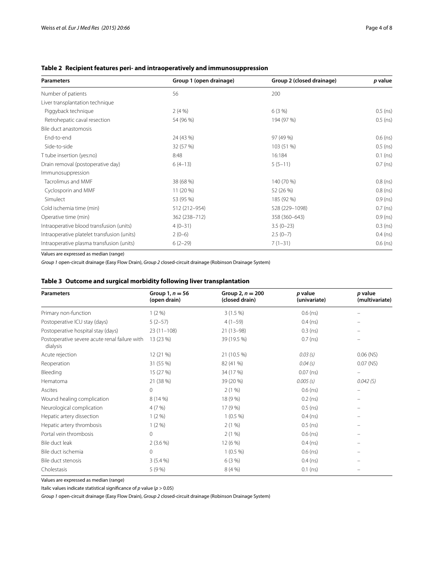# <span id="page-3-0"></span>**Table 2 Recipient features peri- and intraoperatively and immunosuppression**

| <b>Parameters</b>                           | Group 1 (open drainage) | Group 2 (closed drainage) | p value    |
|---------------------------------------------|-------------------------|---------------------------|------------|
| Number of patients                          | 56                      | 200                       |            |
| Liver transplantation technique             |                         |                           |            |
| Piggyback technique                         | $2(4\%)$                | 6(3%)                     | $0.5$ (ns) |
| Retrohepatic caval resection                | 54 (96 %)               | 194 (97 %)                | $0.5$ (ns) |
| Bile duct anastomosis                       |                         |                           |            |
| End-to-end                                  | 24 (43 %)               | 97 (49 %)                 | $0.6$ (ns) |
| Side-to-side                                | 32 (57 %)               | 103 (51 %)                | $0.5$ (ns) |
| T tube insertion (yes:no)                   | 8:48                    | 16:184                    | $0.1$ (ns) |
| Drain removal (postoperative day)           | $6(4-13)$               | $5(5-11)$                 | $0.7$ (ns) |
| Immunosuppression                           |                         |                           |            |
| Tacrolimus and MMF                          | 38 (68 %)               | 140 (70 %)                | $0.8$ (ns) |
| Cyclosporin and MMF                         | 11 (20 %)               | 52 (26 %)                 | $0.8$ (ns) |
| Simulect                                    | 53 (95 %)               | 185 (92 %)                | $0.9$ (ns) |
| Cold ischemia time (min)                    | 512 (212-954)           | 528 (229-1098)            | $0.7$ (ns) |
| Operative time (min)                        | 362 (238-712)           | 358 (360-643)             | $0.9$ (ns) |
| Intraoperative blood transfusion (units)    | $4(0-31)$               | $3.5(0-23)$               | $0.3$ (ns) |
| Intraoperative platelet transfusion (units) | $2(0-6)$                | $2.5(0-7)$                | $0.4$ (ns) |
| Intraoperative plasma transfusion (units)   | $6(2-29)$               | $7(1-31)$                 | $0.6$ (ns) |

Values are expressed as median (range)

*Group 1* open-circuit drainage (Easy Flow Drain), *Group 2* closed-circuit drainage (Robinson Drainage System)

# <span id="page-3-1"></span>**Table 3 Outcome and surgical morbidity following liver transplantation**

| <b>Parameters</b>                                         | Group $1, n = 56$<br>(open drain) | Group 2, $n = 200$<br>(closed drain) | p value<br>(univariate) | <i>p</i> value<br>(multivariate) |
|-----------------------------------------------------------|-----------------------------------|--------------------------------------|-------------------------|----------------------------------|
| Primary non-function                                      | $1(2\%)$                          | $3(1.5\%)$                           | $0.6$ (ns)              |                                  |
| Postoperative ICU stay (days)                             | $5(2-57)$                         | $4(1-59)$                            | $0.4$ (ns)              |                                  |
| Postoperative hospital stay (days)                        | $23(11-108)$                      | $21(13-98)$                          | $0.3$ (ns)              |                                  |
| Postoperative severe acute renal failure with<br>dialysis | 13 (23 %)                         | 39 (19.5 %)                          | $0.7$ (ns)              |                                  |
| Acute rejection                                           | 12(21%)                           | 21 (10.5 %)                          | 0.03(s)                 | $0.06$ (NS)                      |
| Reoperation                                               | 31 (55 %)                         | 82 (41 %)                            | 0.04(s)                 | $0.07$ (NS)                      |
| Bleeding                                                  | 15(27%)                           | 34 (17 %)                            | $0.07$ (ns)             | $\overline{\phantom{0}}$         |
| Hematoma                                                  | 21 (38 %)                         | 39 (20 %)                            | $0.005$ (s)             | 0.042(S)                         |
| Ascites                                                   | $\Omega$                          | 2(1%)                                | $0.6$ (ns)              | $\overline{\phantom{0}}$         |
| Wound healing complication                                | 8 (14 %)                          | 18 (9 %)                             | $0.2$ (ns)              | -                                |
| Neurological complication                                 | 4(7%)                             | 17 (9 %)                             | $0.5$ (ns)              |                                  |
| Hepatic artery dissection                                 | $1(2\%)$                          | $1(0.5\%)$                           | $0.4$ (ns)              |                                  |
| Hepatic artery thrombosis                                 | 1(2%)                             | 2(1%)                                | $0.5$ (ns)              |                                  |
| Portal vein thrombosis                                    | $\Omega$                          | 2(1%)                                | $0.6$ (ns)              | $\qquad \qquad =$                |
| Bile duct leak                                            | $2(3.6\%)$                        | 12 (6 %)                             | $0.4$ (ns)              |                                  |
| Bile duct ischemia                                        | $\circ$                           | $1(0.5\%)$                           | $0.6$ (ns)              | $\qquad \qquad =$                |
| Bile duct stenosis                                        | $3(5.4\%)$                        | 6(3%)                                | $0.4$ (ns)              |                                  |
| Cholestasis                                               | 5(9%)                             | 8(4% )                               | $0.1$ (ns)              |                                  |

Values are expressed as median (range)

Italic values indicate statistical significance of *p* value (*p* > 0.05)

*Group 1* open-circuit drainage (Easy Flow Drain), *Group 2* closed-circuit drainage (Robinson Drainage System)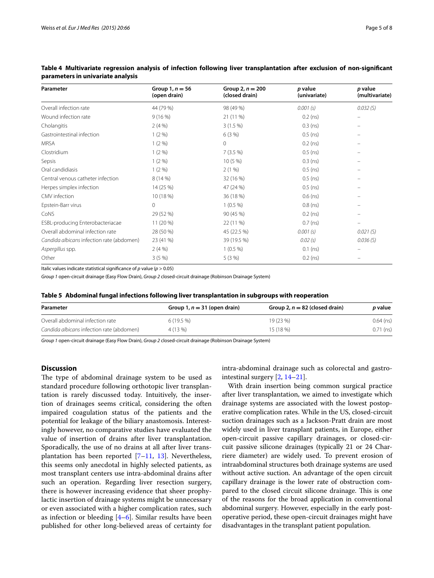| Parameter                                 | Group $1, n = 56$<br>(open drain) | Group 2, $n = 200$<br>(closed drain) | p value<br>(univariate) | p value<br>(multivariate) |
|-------------------------------------------|-----------------------------------|--------------------------------------|-------------------------|---------------------------|
| Overall infection rate                    | 44 (79 %)                         | 98 (49 %)                            | $0.001$ (s)             | 0.032(S)                  |
| Wound infection rate                      | 9(16%)                            | 21 (11 %)                            | $0.2$ (ns)              | $\overline{\phantom{m}}$  |
| Cholangitis                               | $2(4\%)$                          | $3(1.5\%)$                           | $0.3$ (ns)              |                           |
| Gastrointestinal infection                | 1(2%)                             | 6(3%)                                | $0.5$ (ns)              |                           |
| <b>MRSA</b>                               | 1(2%)                             | $\Omega$                             | $0.2$ (ns)              |                           |
| Clostridium                               | 1(2%)                             | $7(3.5\%)$                           | $0.5$ (ns)              | $\qquad \qquad =$         |
| Sepsis                                    | $1(2\%)$                          | $10(5\%)$                            | $0.3$ (ns)              |                           |
| Oral candidiasis                          | 1(2%)                             | 2(1%)                                | $0.5$ (ns)              |                           |
| Central venous catheter infection         | 8 (14 %)                          | 32 (16 %)                            | $0.5$ (ns)              |                           |
| Herpes simplex infection                  | 14 (25 %)                         | 47 (24 %)                            | $0.5$ (ns)              |                           |
| CMV infection                             | 10 (18 %)                         | 36 (18 %)                            | $0.6$ (ns)              |                           |
| Epstein-Barr virus                        | $\Omega$                          | $1(0.5\%)$                           | $0.8$ (ns)              |                           |
| CoNS                                      | 29 (52 %)                         | 90 (45 %)                            | $0.2$ (ns)              |                           |
| ESBL-producing Enterobacteriacae          | 11 (20 %)                         | 22 (11 %)                            | $0.7$ (ns)              |                           |
| Overall abdominal infection rate          | 28 (50 %)                         | 45 (22.5 %)                          | $0.001$ (s)             | $0.021$ (S)               |
| Candida albicans infection rate (abdomen) | 23 (41 %)                         | 39 (19.5 %)                          | 0.02(s)                 | 0.036(S)                  |
| Aspergillus spp.                          | $2(4\%)$                          | $1(0.5\%)$                           | $0.1$ (ns)              |                           |
| Other                                     | 3(5%)                             | 5(3%)                                | $0.2$ (ns)              |                           |

<span id="page-4-0"></span>**Table 4 Multivariate regression analysis of infection following liver transplantation after exclusion of non-significant parameters in univariate analysis**

Italic values indicate statistical significance of *p* value (*p* > 0.05)

*Group 1* open-circuit drainage (Easy Flow Drain), *Group 2* closed-circuit drainage (Robinson Drainage System)

<span id="page-4-1"></span>

| Table 5 Abdominal fungal infections following liver transplantation in subgroups with reoperation |  |  |  |  |
|---------------------------------------------------------------------------------------------------|--|--|--|--|
|                                                                                                   |  |  |  |  |

| Parameter                                 | Group 1, $n = 31$ (open drain) | Group 2, $n = 82$ (closed drain) | <i>p</i> value |
|-------------------------------------------|--------------------------------|----------------------------------|----------------|
| Overall abdominal infection rate          | $6(19.5\%)$                    | 19 (23 %)                        | $0.64$ (ns)    |
| Candida albicans infection rate (abdomen) | 4 (13 %)                       | 15 (18 %)                        | $0.71$ (ns)    |

*Group 1* open-circuit drainage (Easy Flow Drain), *Group 2* closed-circuit drainage (Robinson Drainage System)

### **Discussion**

The type of abdominal drainage system to be used as standard procedure following orthotopic liver transplantation is rarely discussed today. Intuitively, the insertion of drainages seems critical, considering the often impaired coagulation status of the patients and the potential for leakage of the biliary anastomosis. Interestingly however, no comparative studies have evaluated the value of insertion of drains after liver transplantation. Sporadically, the use of no drains at all after liver transplantation has been reported [\[7](#page-6-4)[–11](#page-6-5), [13\]](#page-6-7). Nevertheless, this seems only anecdotal in highly selected patients, as most transplant centers use intra-abdominal drains after such an operation. Regarding liver resection surgery, there is however increasing evidence that sheer prophylactic insertion of drainage systems might be unnecessary or even associated with a higher complication rates, such as infection or bleeding  $[4-6]$  $[4-6]$  $[4-6]$ . Similar results have been published for other long-believed areas of certainty for intra-abdominal drainage such as colorectal and gastrointestinal surgery [[2,](#page-6-8) [14](#page-6-9)[–21\]](#page-6-10).

With drain insertion being common surgical practice after liver transplantation, we aimed to investigate which drainage systems are associated with the lowest postoperative complication rates. While in the US, closed-circuit suction drainages such as a Jackson-Pratt drain are most widely used in liver transplant patients, in Europe, either open-circuit passive capillary drainages, or closed-circuit passive silicone drainages (typically 21 or 24 Charriere diameter) are widely used. To prevent erosion of intraabdominal structures both drainage systems are used without active suction. An advantage of the open circuit capillary drainage is the lower rate of obstruction compared to the closed circuit silicone drainage. This is one of the reasons for the broad application in conventional abdominal surgery. However, especially in the early postoperative period, these open-circuit drainages might have disadvantages in the transplant patient population.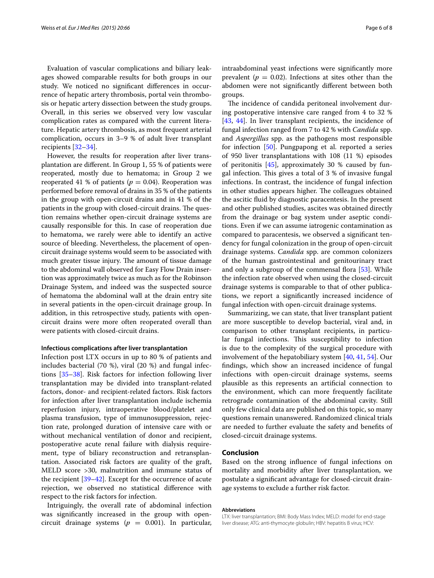Evaluation of vascular complications and biliary leakages showed comparable results for both groups in our study. We noticed no significant differences in occurrence of hepatic artery thrombosis, portal vein thrombosis or hepatic artery dissection between the study groups. Overall, in this series we observed very low vascular complication rates as compared with the current literature. Hepatic artery thrombosis, as most frequent arterial complication, occurs in 3–9 % of adult liver transplant recipients [\[32](#page-6-11)[–34](#page-6-12)].

However, the results for reoperation after liver transplantation are different. In Group 1, 55 % of patients were reoperated, mostly due to hematoma; in Group 2 we reoperated 41 % of patients ( $p = 0.04$ ). Reoperation was performed before removal of drains in 35 % of the patients in the group with open-circuit drains and in 41 % of the patients in the group with closed-circuit drains. The question remains whether open-circuit drainage systems are causally responsible for this. In case of reoperation due to hematoma, we rarely were able to identify an active source of bleeding. Nevertheless, the placement of opencircuit drainage systems would seem to be associated with much greater tissue injury. The amount of tissue damage to the abdominal wall observed for Easy Flow Drain insertion was approximately twice as much as for the Robinson Drainage System, and indeed was the suspected source of hematoma the abdominal wall at the drain entry site in several patients in the open-circuit drainage group. In addition, in this retrospective study, patients with opencircuit drains were more often reoperated overall than were patients with closed-circuit drains.

#### **Infectious complications after liver transplantation**

Infection post LTX occurs in up to 80 % of patients and includes bacterial  $(70 \%)$ , viral  $(20 \%)$  and fungal infections [\[35](#page-6-13)[–38](#page-6-14)]. Risk factors for infection following liver transplantation may be divided into transplant-related factors, donor- and recipient-related factors. Risk factors for infection after liver transplantation include ischemia reperfusion injury, intraoperative blood/platelet and plasma transfusion, type of immunosuppression, rejection rate, prolonged duration of intensive care with or without mechanical ventilation of donor and recipient, postoperative acute renal failure with dialysis requirement, type of biliary reconstruction and retransplantation. Associated risk factors are quality of the graft, MELD score >30, malnutrition and immune status of the recipient [[39–](#page-7-0)[42](#page-7-1)]. Except for the occurrence of acute rejection, we observed no statistical difference with respect to the risk factors for infection.

Intriguingly, the overall rate of abdominal infection was significantly increased in the group with opencircuit drainage systems ( $p = 0.001$ ). In particular, intraabdominal yeast infections were significantly more prevalent ( $p = 0.02$ ). Infections at sites other than the abdomen were not significantly different between both groups.

The incidence of candida peritoneal involvement during postoperative intensive care ranged from 4 to 32 % [[43,](#page-7-2) [44\]](#page-7-3). In liver transplant recipients, the incidence of fungal infection ranged from 7 to 42 % with *Candida* spp. and *Aspergillus* spp. as the pathogens most responsible for infection [\[50\]](#page-7-4). Pungpapong et al. reported a series of 950 liver transplantations with 108 (11 %) episodes of peritonitis  $[45]$  $[45]$ , approximately 30 % caused by fungal infection. This gives a total of 3 % of invasive fungal infections. In contrast, the incidence of fungal infection in other studies appears higher. The colleagues obtained the ascitic fluid by diagnostic paracentesis. In the present and other published studies, ascites was obtained directly from the drainage or bag system under aseptic conditions. Even if we can assume iatrogenic contamination as compared to paracentesis, we observed a significant tendency for fungal colonization in the group of open-circuit drainage systems. *Candida* spp. are common colonizers of the human gastrointestinal and genitourinary tract and only a subgroup of the commensal flora [\[53](#page-7-6)]. While the infection rate observed when using the closed-circuit drainage systems is comparable to that of other publications, we report a significantly increased incidence of fungal infection with open-circuit drainage systems.

Summarizing, we can state, that liver transplant patient are more susceptible to develop bacterial, viral and, in comparison to other transplant recipients, in particular fungal infections. This susceptibility to infection is due to the complexity of the surgical procedure with involvement of the hepatobiliary system [[40](#page-7-7), [41](#page-7-8), [54\]](#page-7-9). Our findings, which show an increased incidence of fungal infections with open-circuit drainage systems, seems plausible as this represents an artificial connection to the environment, which can more frequently facilitate retrograde contamination of the abdominal cavity. Still only few clinical data are published on this topic, so many questions remain unanswered. Randomized clinical trials are needed to further evaluate the safety and benefits of closed-circuit drainage systems.

## **Conclusion**

Based on the strong influence of fungal infections on mortality and morbidity after liver transplantation, we postulate a significant advantage for closed-circuit drainage systems to exclude a further risk factor.

#### **Abbreviations**

LTX: liver transplantation; BMI: Body Mass Index; MELD: model for end-stage liver disease; ATG: anti-thymocyte globulin; HBV: hepatitis B virus; HCV: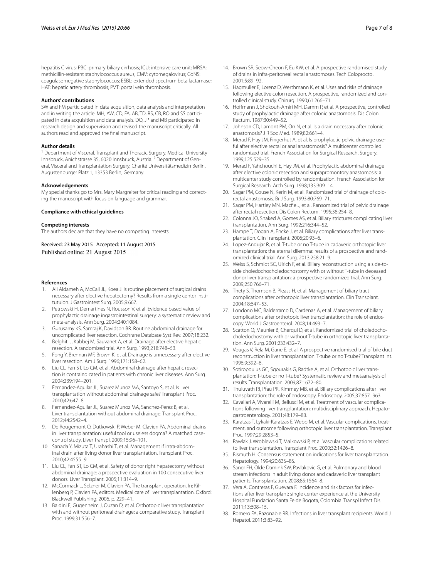hepatitis C virus; PBC: primary biliary cirrhosis; ICU: intensive care unit; MRSA: methicillin-resistant staphylococcus aureus; CMV: cytomegalovirus; CoNS: coagulase-negative staphylococcus; ESBL: extended spectrum beta lactamase; HAT: hepatic artery thrombosis; PVT: portal vein thrombosis.

#### **Authors' contributions**

SW and FM participated in data acquisition, data analysis and interpretation and in writing the article. MH, AW, CD, FA, AB, TD, RS, CB, RO and SS participated in data acquisition and data analysis. DO, JP and MB participated in research design and supervision and revised the manuscript critically. All authors read and approved the final manuscript.

#### **Author details**

<sup>1</sup> Department of Visceral, Transplant and Thoracic Surgery, Medical University Innsbruck, Anichstrasse 35, 6020 Innsbruck, Austria.<sup>2</sup> Department of General, Visceral and Transplantation Surgery, Charité Universitätsmedizin Berlin, Augustenburger Platz 1, 13353 Berlin, Germany.

#### **Acknowledgements**

My special thanks go to Mrs. Mary Margreiter for critical reading and correcting the manuscript with focus on language and grammar.

#### **Compliance with ethical guidelines**

#### **Competing interests**

The authors declare that they have no competing interests.

Received: 23 May 2015 Accepted: 11 August 2015 Published online: 21 August 2015

#### **References**

- <span id="page-6-0"></span>1. Ali Aldameh A, McCall JL, Koea J. Is routine placement of surgical drains necessary after elective hepatectomy? Results from a single center institutuion. J Gastrointest Surg. 2005;9:667.
- <span id="page-6-8"></span>2. Petrowski H, Demartines N, Rousson V, et al. Evidence based value of prophylactic drainage ingastrointestinal surgery: a systematic review and meta-analysis. Ann Surg. 2004;240:1084.
- <span id="page-6-1"></span>3. Gurusamy KS, Samraj K, Davidson BR. Routine abdominal drainage for uncomplicated liver resection. Cochrane Database Syst Rev. 2007;18:232.
- <span id="page-6-2"></span>4. Belghiti J, Kabbej M, Sauvanet A, et al. Drainage after elective hepatic resection. A randomized trial. Ann Surg. 1993;218:748–53.
- 5. Fong Y, Brennan MF, Brown K, et al. Drainage is unnecessary after elective liver resection. Am J Surg. 1996;171:158–62.
- <span id="page-6-3"></span>6. Liu CL, Fan ST, Lo CM, et al. Abdominal drainage after hepatic resection is contraindicated in patients with chronic liver diseases. Ann Surg. 2004;239:194–201.
- <span id="page-6-4"></span>7. Fernandez-Aguilar JL, Suarez Munoz MA, Santoyo S, et al. Is liver transplantation without abdominal drainage safe? Transplant Proc. 2010;42:647–8.
- 8. Fernandez-Aguilar JL, Suarez Munoz MA, Sanchez-Perez B, et al. Liver transplantation without abdominal drainage. Transplant Proc. 2012;44:2542–4.
- 9. De Rougemont O, Dutkowski P, Weber M, Clavien PA. Abdominal drains in liver transplantation: useful tool or useless dogma? A matched casecontrol study. Liver Transpl. 2009;15:96–101.
- 10. Sanada Y, Mizuta T, Urahashi T, et al. Management if intra-abdominal drain after living donor liver transplantation. Transplant Proc. 2010;42:4555–9.
- <span id="page-6-5"></span>11. Liu CL, Fan ST, Lo CM, et al. Safety of donor right hepatectomy without abdominal drainage: a prospective evaluation in 100 consecutive liver donors. Liver Transplant. 2005;11:314–9.
- <span id="page-6-6"></span>12. McCormack L, Selzner M, Clavien PA. The transplant operation. In: Killenberg P, Clavien PA, editors. Medical care of liver transplantation. Oxford: Blackwell Publishing; 2006. p. 229–41.
- <span id="page-6-7"></span>13. Baldini E, Gugenheim J, Ouzan D, et al. Orthotopic liver transplantation with and without peritoneal drainage: a comparative study. Transplant Proc. 1999;31:556–7.
- <span id="page-6-9"></span>14. Brown SR, Seow-Cheon F, Eu KW, et al. A prospective randomised study of drains in infra-peritoneal rectal anastomoses. Tech Coloproctol. 2001;5:89–92.
- 15. Hagmuller E, Lorenz D, Werthmann K, et al. Uses and risks of drainage following elective colon resection. A prospective, randomized and controlled clinical study. Chirurg. 1990;61:266–71.
- 16. Hoffmann J, Shokouh-Amiri MH, Damm P, et al. A prospective, controlled study of prophylactic drainage after colonic anastomosis. Dis Colon Rectum. 1987;30:449–52.
- 17. Johnson CD, Lamont PM, Orr N, et al. Is a drain necessary after colonic anastomosis? J R Soc Med. 1989;82:661–4.
- 18. Merad F, Hay JM, Fingerhut A, et al. Is prophylactic pelvic drainage useful after elective rectal or anal anastomosis? A multicenter controlled randomized trial. French Association for Surgical Research. Surgery. 1999;125:529–35.
- 19. Merad F, Yahchouchi E, Hay JM, et al. Prophylactic abdominal drainage after elective colonic resection and suprapromontory anastomosis: a multicenter study controlled by randomization. French Association for Surgical Research. Arch Surg. 1998;133:309–14.
- 20. Sagar PM, Couse N, Kerin M, et al. Randomized trial of drainage of colorectal anastomosis. Br J Surg. 1993;80:769–71.
- <span id="page-6-10"></span>21. Sagar PM, Hartley MN, Macfie J, et al. Ransomized trial of pelvic drainage after rectal resection. Dis Colon Rectum. 1995;38:254–8.
- 22. Colonna JO, Shaked A, Gomes AS, et al. Biliary strictures complicating liver transplantation. Ann Surg. 1992;216:344–52.
- 23. Hampe T, Dogan A, Encke J, et al. Biliary complications after liver transplantation. Clin Transplant. 2006;20:93–6.
- 24. Lopez-Andujar R, et al. T-tube or no T-tube in cadaveric orthotopic liver transplantation: the eternal dilemma: results of a prospective and randomized clinical trial. Ann Surg. 2013;258:21–9.
- 25. Weiss S, Schmidt SC, Ulrich F, et al. Biliary reconstruction using a side-toside choledochocholedochostomy with or without T-tube in deceased donor liver transplantation: a prospective randomized trial. Ann Surg. 2009;250:766–71.
- 26. Thety S, Thomson B, Pleass H, et al. Management of biliary tract complications after orthotopic liver transplantation. Clin Transplant. 2004;18:647–53.
- 27. Londono MC, Balderramo D, Cardenas A, et al. Management of biliary complications after orthotopic liver transplantation: the role of endoscopy. World J Gastroenterol. 2008;14:493–7.
- 28. Scatton O, Meunier B, Cherqui D, et al. Randomized trial of choledochocholedochostomy with or without T-tube in orthotopic liver transplantation. Ann Surg. 2001;233:432–7.
- 29. Vougas V, Rela M, Gane E, et al. A prospective randomised trial of bile duct reconstruction in liver transplantation: T-tube or no T-tube? Transplant Int. 1996;9:392–6.
- 30. Sotiropoulus GC, Sgourakis G, Radtke A, et al. Orthotopic liver transplantation: T-tube or no T-tube? Systematic review and metaanalysis of results. Transplantation. 2009;87:1672–80.
- 31. Thuluvath PJ, Pfau PR, Kimmey MB, et al. Biliary complications after liver transplantation: the role of endoscopy. Endoscopy. 2005;37:857–963.
- <span id="page-6-11"></span>32. Cavallari A, Vivarelli M, Bellusci M, et al. Treatment of vascular complications following liver transplantation: multidisciplinary approach. Hepatogastroenterology. 2001;48:179–83.
- 33. Karatzas T, Lykaki-Karatzas E, Webb M, et al. Vascular complications, treatment, and outcome following orthotopic liver transplantation. Transplant Proc. 1997;29:2853–5.
- <span id="page-6-12"></span>34. Pawlak J, Wroblewski T, Malkowski P, et al. Vascular complications related to liver transplantation. Transplant Proc. 2000;32:1426–8.
- <span id="page-6-13"></span>35. Bismuth H. Consensus statement on indications for liver transplantation. Hepatology. 1994;20:63S–8S.
- 36. Saner FH, Olde Damink SW, Pavlakovic G, et al. Pulmonary and blood stream infections in adult living donor and cadaveric liver transplant patients. Transplantation. 2008;85:1564–8.
- 37. Vera A, Contreras F, Guevara F. Incidence and risk factors for infections after liver transplant: single center experience at the University Hospital Fundacion Santa Fe de Bogota, Colombia. Transpl Infect Dis. 2011;13:608–15.
- <span id="page-6-14"></span>38. Romero FA, Razonable RR. Infections in liver transplant recipients. World J Hepatol. 2011;3:83–92.